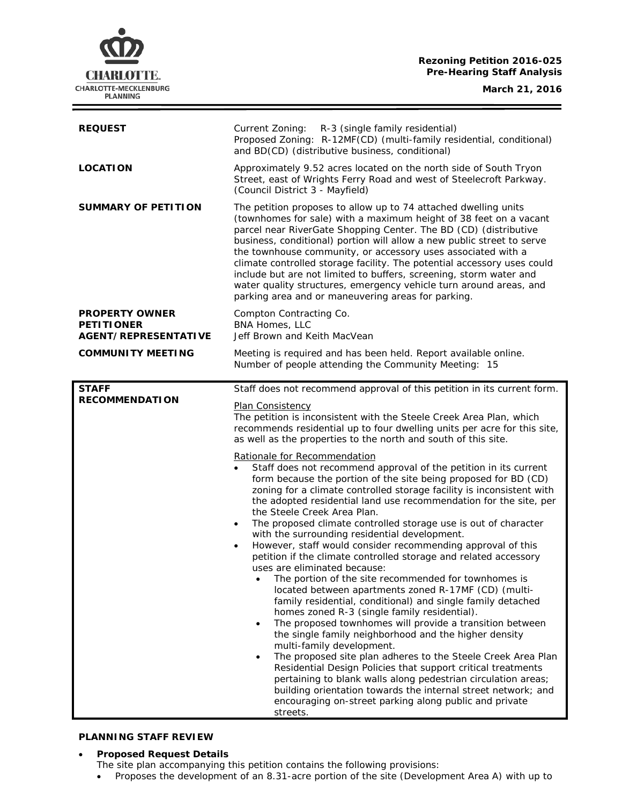**Rezoning Petition 2016-025 Pre-Hearing Staff Analysis**

**CHARLOTTE.** CHARLOTTE-MECKLENBURG<br>PLANNING

**March 21, 2016**

| <b>REQUEST</b>                                                     | Current Zoning:<br>R-3 (single family residential)<br>Proposed Zoning: R-12MF(CD) (multi-family residential, conditional)<br>and BD(CD) (distributive business, conditional)                                                                                                                                                                                                                                                                                                                                                                                                                                                                                                                                                                                                                                                                                                                                                                                                                                                                                                                                                                                                                                                                                                                                                                                                                            |
|--------------------------------------------------------------------|---------------------------------------------------------------------------------------------------------------------------------------------------------------------------------------------------------------------------------------------------------------------------------------------------------------------------------------------------------------------------------------------------------------------------------------------------------------------------------------------------------------------------------------------------------------------------------------------------------------------------------------------------------------------------------------------------------------------------------------------------------------------------------------------------------------------------------------------------------------------------------------------------------------------------------------------------------------------------------------------------------------------------------------------------------------------------------------------------------------------------------------------------------------------------------------------------------------------------------------------------------------------------------------------------------------------------------------------------------------------------------------------------------|
| <b>LOCATION</b>                                                    | Approximately 9.52 acres located on the north side of South Tryon<br>Street, east of Wrights Ferry Road and west of Steelecroft Parkway.<br>(Council District 3 - Mayfield)                                                                                                                                                                                                                                                                                                                                                                                                                                                                                                                                                                                                                                                                                                                                                                                                                                                                                                                                                                                                                                                                                                                                                                                                                             |
| SUMMARY OF PETITION                                                | The petition proposes to allow up to 74 attached dwelling units<br>(townhomes for sale) with a maximum height of 38 feet on a vacant<br>parcel near RiverGate Shopping Center. The BD (CD) (distributive<br>business, conditional) portion will allow a new public street to serve<br>the townhouse community, or accessory uses associated with a<br>climate controlled storage facility. The potential accessory uses could<br>include but are not limited to buffers, screening, storm water and<br>water quality structures, emergency vehicle turn around areas, and<br>parking area and or maneuvering areas for parking.                                                                                                                                                                                                                                                                                                                                                                                                                                                                                                                                                                                                                                                                                                                                                                         |
| <b>PROPERTY OWNER</b><br><b>PETITIONER</b><br>AGENT/REPRESENTATIVE | Compton Contracting Co.<br>BNA Homes, LLC<br>Jeff Brown and Keith MacVean                                                                                                                                                                                                                                                                                                                                                                                                                                                                                                                                                                                                                                                                                                                                                                                                                                                                                                                                                                                                                                                                                                                                                                                                                                                                                                                               |
| <b>COMMUNITY MEETING</b>                                           | Meeting is required and has been held. Report available online.<br>Number of people attending the Community Meeting: 15                                                                                                                                                                                                                                                                                                                                                                                                                                                                                                                                                                                                                                                                                                                                                                                                                                                                                                                                                                                                                                                                                                                                                                                                                                                                                 |
| <b>STAFF</b>                                                       | Staff does not recommend approval of this petition in its current form.                                                                                                                                                                                                                                                                                                                                                                                                                                                                                                                                                                                                                                                                                                                                                                                                                                                                                                                                                                                                                                                                                                                                                                                                                                                                                                                                 |
| <b>RECOMMENDATION</b>                                              | Plan Consistency<br>The petition is inconsistent with the Steele Creek Area Plan, which<br>recommends residential up to four dwelling units per acre for this site,<br>as well as the properties to the north and south of this site.                                                                                                                                                                                                                                                                                                                                                                                                                                                                                                                                                                                                                                                                                                                                                                                                                                                                                                                                                                                                                                                                                                                                                                   |
|                                                                    | Rationale for Recommendation<br>Staff does not recommend approval of the petition in its current<br>form because the portion of the site being proposed for BD (CD)<br>zoning for a climate controlled storage facility is inconsistent with<br>the adopted residential land use recommendation for the site, per<br>the Steele Creek Area Plan.<br>The proposed climate controlled storage use is out of character<br>$\bullet$<br>with the surrounding residential development.<br>However, staff would consider recommending approval of this<br>petition if the climate controlled storage and related accessory<br>uses are eliminated because:<br>The portion of the site recommended for townhomes is<br>located between apartments zoned R-17MF (CD) (multi-<br>family residential, conditional) and single family detached<br>homes zoned R-3 (single family residential).<br>The proposed townhomes will provide a transition between<br>$\bullet$<br>the single family neighborhood and the higher density<br>multi-family development.<br>The proposed site plan adheres to the Steele Creek Area Plan<br>$\bullet$<br>Residential Design Policies that support critical treatments<br>pertaining to blank walls along pedestrian circulation areas;<br>building orientation towards the internal street network; and<br>encouraging on-street parking along public and private<br>streets. |

## **PLANNING STAFF REVIEW**

• **Proposed Request Details**

- The site plan accompanying this petition contains the following provisions:
- Proposes the development of an 8.31-acre portion of the site (Development Area A) with up to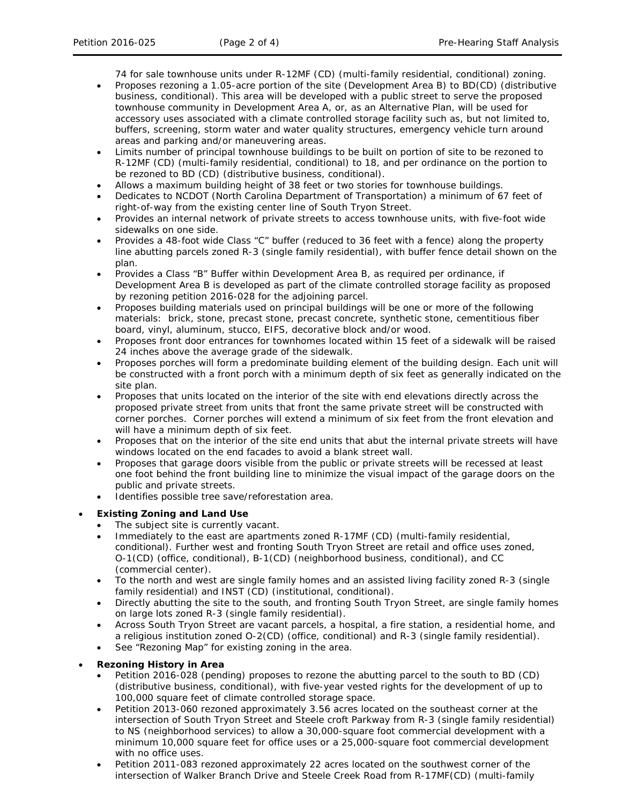74 for sale townhouse units under R-12MF (CD) (multi-family residential, conditional) zoning.

- Proposes rezoning a 1.05-acre portion of the site (Development Area B) to BD(CD) (distributive business, conditional). This area will be developed with a public street to serve the proposed townhouse community in Development Area A, or, as an Alternative Plan, will be used for accessory uses associated with a climate controlled storage facility such as, but not limited to, buffers, screening, storm water and water quality structures, emergency vehicle turn around areas and parking and/or maneuvering areas.
- Limits number of principal townhouse buildings to be built on portion of site to be rezoned to R-12MF (CD) (multi-family residential, conditional) to 18, and per ordinance on the portion to be rezoned to BD (CD) (distributive business, conditional).
- Allows a maximum building height of 38 feet or two stories for townhouse buildings.
- Dedicates to NCDOT (North Carolina Department of Transportation) a minimum of 67 feet of right-of-way from the existing center line of South Tryon Street.
- Provides an internal network of private streets to access townhouse units, with five-foot wide sidewalks on one side.
- Provides a 48-foot wide Class "C" buffer (reduced to 36 feet with a fence) along the property line abutting parcels zoned R-3 (single family residential), with buffer fence detail shown on the plan.
- Provides a Class "B" Buffer within Development Area B, as required per ordinance, if Development Area B is developed as part of the climate controlled storage facility as proposed by rezoning petition 2016-028 for the adjoining parcel.
- Proposes building materials used on principal buildings will be one or more of the following materials: brick, stone, precast stone, precast concrete, synthetic stone, cementitious fiber board, vinyl, aluminum, stucco, EIFS, decorative block and/or wood.
- Proposes front door entrances for townhomes located within 15 feet of a sidewalk will be raised 24 inches above the average grade of the sidewalk.
- Proposes porches will form a predominate building element of the building design. Each unit will be constructed with a front porch with a minimum depth of six feet as generally indicated on the site plan.
- Proposes that units located on the interior of the site with end elevations directly across the proposed private street from units that front the same private street will be constructed with corner porches. Corner porches will extend a minimum of six feet from the front elevation and will have a minimum depth of six feet.
- Proposes that on the interior of the site end units that abut the internal private streets will have windows located on the end facades to avoid a blank street wall.
- Proposes that garage doors visible from the public or private streets will be recessed at least one foot behind the front building line to minimize the visual impact of the garage doors on the public and private streets.
- Identifies possible tree save/reforestation area.

# • **Existing Zoning and Land Use**

- The subject site is currently vacant.
- Immediately to the east are apartments zoned R-17MF (CD) (multi-family residential, conditional). Further west and fronting South Tryon Street are retail and office uses zoned, O-1(CD) (office, conditional), B-1(CD) (neighborhood business, conditional), and CC (commercial center).
- To the north and west are single family homes and an assisted living facility zoned R-3 (single family residential) and INST (CD) (institutional, conditional).
- Directly abutting the site to the south, and fronting South Tryon Street, are single family homes on large lots zoned R-3 (single family residential).
- Across South Tryon Street are vacant parcels, a hospital, a fire station, a residential home, and a religious institution zoned O-2(CD) (office, conditional) and R-3 (single family residential).
- See "Rezoning Map" for existing zoning in the area.

### • **Rezoning History in Area**

- Petition 2016-028 (pending) proposes to rezone the abutting parcel to the south to BD (CD) (distributive business, conditional), with five-year vested rights for the development of up to 100,000 square feet of climate controlled storage space.
- Petition 2013-060 rezoned approximately 3.56 acres located on the southeast corner at the intersection of South Tryon Street and Steele croft Parkway from R-3 (single family residential) to NS (neighborhood services) to allow a 30,000-square foot commercial development with a minimum 10,000 square feet for office uses or a 25,000-square foot commercial development with no office uses.
- Petition 2011-083 rezoned approximately 22 acres located on the southwest corner of the intersection of Walker Branch Drive and Steele Creek Road from R-17MF(CD) (multi-family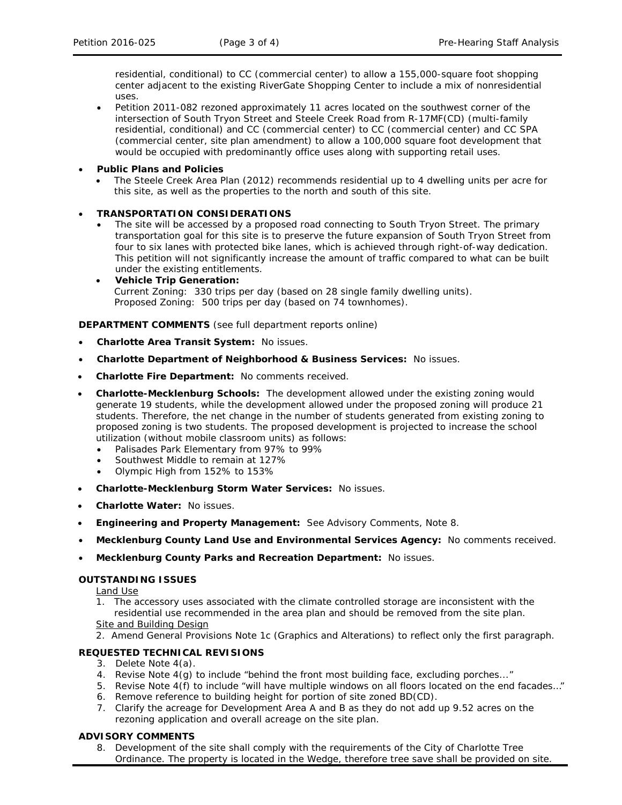residential, conditional) to CC (commercial center) to allow a 155,000-square foot shopping center adjacent to the existing RiverGate Shopping Center to include a mix of nonresidential uses.

• Petition 2011-082 rezoned approximately 11 acres located on the southwest corner of the intersection of South Tryon Street and Steele Creek Road from R-17MF(CD) (multi-family residential, conditional) and CC (commercial center) to CC (commercial center) and CC SPA (commercial center, site plan amendment) to allow a 100,000 square foot development that would be occupied with predominantly office uses along with supporting retail uses.

#### • **Public Plans and Policies**

• The *Steele Creek Area Plan* (2012) recommends residential up to 4 dwelling units per acre for this site, as well as the properties to the north and south of this site.

### • **TRANSPORTATION CONSIDERATIONS**

- The site will be accessed by a proposed road connecting to South Tryon Street. The primary transportation goal for this site is to preserve the future expansion of South Tryon Street from four to six lanes with protected bike lanes, which is achieved through right-of-way dedication. This petition will not significantly increase the amount of traffic compared to what can be built under the existing entitlements.
- **Vehicle Trip Generation:** Current Zoning: 330 trips per day (based on 28 single family dwelling units). Proposed Zoning: 500 trips per day (based on 74 townhomes).

**DEPARTMENT COMMENTS** (see full department reports online)

- **Charlotte Area Transit System:** No issues.
- **Charlotte Department of Neighborhood & Business Services:** No issues.
- **Charlotte Fire Department:** No comments received.
- **Charlotte-Mecklenburg Schools:** The development allowed under the existing zoning would generate 19 students, while the development allowed under the proposed zoning will produce 21 students. Therefore, the net change in the number of students generated from existing zoning to proposed zoning is two students. The proposed development is projected to increase the school utilization (without mobile classroom units) as follows:
	- Palisades Park Elementary from 97% to 99%
	- Southwest Middle to remain at 127%
	- Olympic High from 152% to 153%
- **Charlotte-Mecklenburg Storm Water Services:** No issues.
- **Charlotte Water:** No issues.
- **Engineering and Property Management:** See Advisory Comments, Note 8.
- **Mecklenburg County Land Use and Environmental Services Agency:** No comments received.
- **Mecklenburg County Parks and Recreation Department:** No issues.

### **OUTSTANDING ISSUES**

Land Use

- 1. The accessory uses associated with the climate controlled storage are inconsistent with the residential use recommended in the area plan and should be removed from the site plan. Site and Building Design
- 2. Amend General Provisions Note 1c (Graphics and Alterations) to reflect only the first paragraph.

### **REQUESTED TECHNICAL REVISIONS**

- 3. Delete Note 4(a).
- 4. Revise Note 4(g) to include "behind the front most building face, excluding porches..."
- 5. Revise Note 4(f) to include "will have multiple windows on all floors located on the end facades..."
- 6. Remove reference to building height for portion of site zoned BD(CD).
- 7. Clarify the acreage for Development Area A and B as they do not add up 9.52 acres on the rezoning application and overall acreage on the site plan.

#### **ADVISORY COMMENTS**

8. Development of the site shall comply with the requirements of the City of Charlotte Tree Ordinance. The property is located in the Wedge, therefore tree save shall be provided on site.